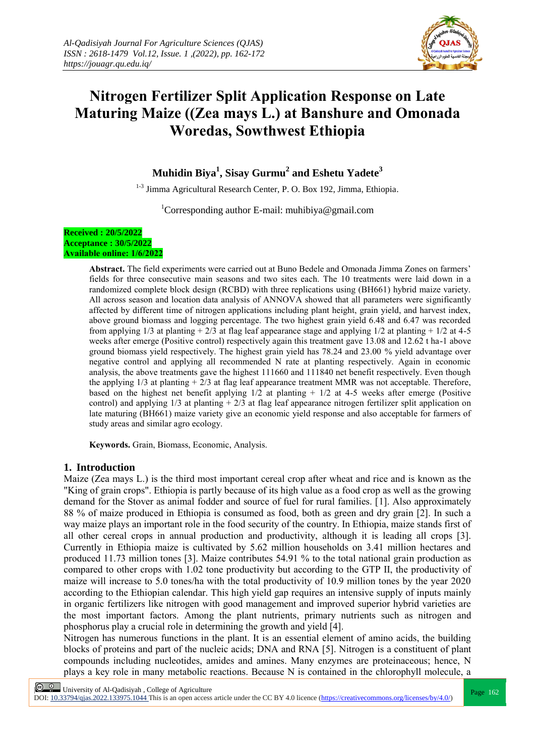

# **Nitrogen Fertilizer Split Application Response on Late Maturing Maize ((Zea mays L.) at Banshure and Omonada Woredas, Sowthwest Ethiopia**

## **Muhidin Biya<sup>1</sup> , Sisay Gurmu<sup>2</sup> and Eshetu Yadete<sup>3</sup>**

<sup>1-3</sup> Jimma Agricultural Research Center, P. O. Box 192, Jimma, Ethiopia.

<sup>1</sup>Corresponding author E-mail: muhibiya@gmail.com

#### **Received : 20/5/2022 Acceptance : 30/5/2022 Available online: 1/6/2022**

**Abstract.** The field experiments were carried out at Buno Bedele and Omonada Jimma Zones on farmers' fields for three consecutive main seasons and two sites each. The 10 treatments were laid down in a randomized complete block design (RCBD) with three replications using (BH661) hybrid maize variety. All across season and location data analysis of ANNOVA showed that all parameters were significantly affected by different time of nitrogen applications including plant height, grain yield, and harvest index, above ground biomass and logging percentage. The two highest grain yield 6.48 and 6.47 was recorded from applying  $1/3$  at planting  $+ 2/3$  at flag leaf appearance stage and applying  $1/2$  at planting  $+ 1/2$  at 4-5 weeks after emerge (Positive control) respectively again this treatment gave 13.08 and 12.62 t ha-1 above ground biomass yield respectively. The highest grain yield has 78.24 and 23.00 % yield advantage over negative control and applying all recommended N rate at planting respectively. Again in economic analysis, the above treatments gave the highest 111660 and 111840 net benefit respectively. Even though the applying  $1/3$  at planting  $+ 2/3$  at flag leaf appearance treatment MMR was not acceptable. Therefore, based on the highest net benefit applying  $1/2$  at planting  $+1/2$  at 4-5 weeks after emerge (Positive control) and applying  $1/3$  at planting  $+2/3$  at flag leaf appearance nitrogen fertilizer split application on late maturing (BH661) maize variety give an economic yield response and also acceptable for farmers of study areas and similar agro ecology.

**Keywords.** Grain, Biomass, Economic, Analysis.

### **1. Introduction**

Maize (Zea mays L.) is the third most important cereal crop after wheat and rice and is known as the "King of grain crops". Ethiopia is partly because of its high value as a food crop as well as the growing demand for the Stover as animal fodder and source of fuel for rural families. [1]. Also approximately 88 % of maize produced in Ethiopia is consumed as food, both as green and dry grain [2]. In such a way maize plays an important role in the food security of the country. In Ethiopia, maize stands first of all other cereal crops in annual production and productivity, although it is leading all crops [3]. Currently in Ethiopia maize is cultivated by 5.62 million households on 3.41 million hectares and produced 11.73 million tones [3]. Maize contributes 54.91 % to the total national grain production as compared to other crops with 1.02 tone productivity but according to the GTP II, the productivity of maize will increase to 5.0 tones/ha with the total productivity of 10.9 million tones by the year 2020 according to the Ethiopian calendar. This high yield gap requires an intensive supply of inputs mainly in organic fertilizers like nitrogen with good management and improved superior hybrid varieties are the most important factors. Among the plant nutrients, primary nutrients such as nitrogen and phosphorus play a crucial role in determining the growth and yield [4].

Nitrogen has numerous functions in the plant. It is an essential element of amino acids, the building blocks of proteins and part of the nucleic acids; DNA and RNA [5]. Nitrogen is a constituent of plant compounds including nucleotides, amides and amines. Many enzymes are proteinaceous; hence, N plays a key role in many metabolic reactions. Because N is contained in the chlorophyll molecule, a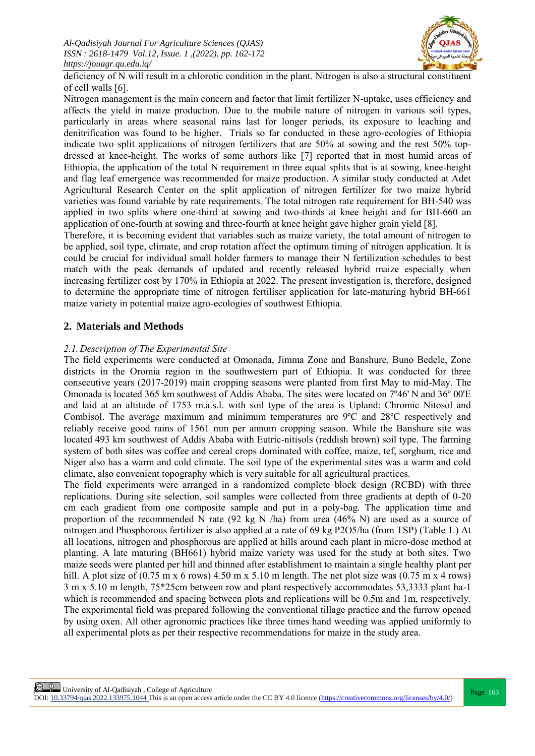

deficiency of N will result in a chlorotic condition in the plant. Nitrogen is also a structural constituent of cell walls [6].

Nitrogen management is the main concern and factor that limit fertilizer N-uptake, uses efficiency and affects the yield in maize production. Due to the mobile nature of nitrogen in various soil types, particularly in areas where seasonal rains last for longer periods, its exposure to leaching and denitrification was found to be higher. Trials so far conducted in these agro-ecologies of Ethiopia indicate two split applications of nitrogen fertilizers that are 50% at sowing and the rest 50% topdressed at knee-height. The works of some authors like [7] reported that in most humid areas of Ethiopia, the application of the total N requirement in three equal splits that is at sowing, knee-height and flag leaf emergence was recommended for maize production. A similar study conducted at Adet Agricultural Research Center on the split application of nitrogen fertilizer for two maize hybrid varieties was found variable by rate requirements. The total nitrogen rate requirement for BH-540 was applied in two splits where one-third at sowing and two-thirds at knee height and for BH-660 an application of one-fourth at sowing and three-fourth at knee height gave higher grain yield [8].

Therefore, it is becoming evident that variables such as maize variety, the total amount of nitrogen to be applied, soil type, climate, and crop rotation affect the optimum timing of nitrogen application. It is could be crucial for individual small holder farmers to manage their N fertilization schedules to best match with the peak demands of updated and recently released hybrid maize especially when increasing fertilizer cost by 170% in Ethiopia at 2022. The present investigation is, therefore, designed to determine the appropriate time of nitrogen fertiliser application for late-maturing hybrid BH-661 maize variety in potential maize agro-ecologies of southwest Ethiopia.

#### **2. Materials and Methods**

#### *2.1.Description of The Experimental Site*

The field experiments were conducted at Omonada, Jimma Zone and Banshure, Buno Bedele, Zone districts in the Oromia region in the southwestern part of Ethiopia. It was conducted for three consecutive years (2017-2019) main cropping seasons were planted from first May to mid-May. The Omonada is located 365 km southwest of Addis Ababa. The sites were located on 7º46' N and 36º 00'E and laid at an altitude of 1753 m.a.s.l. with soil type of the area is Upland: Chromic Nitosol and Combisol. The average maximum and minimum temperatures are 9ºC and 28ºC respectively and reliably receive good rains of 1561 mm per annum cropping season. While the Banshure site was located 493 km southwest of Addis Ababa with Eutric-nitisols (reddish brown) soil type. The farming system of both sites was coffee and cereal crops dominated with coffee, maize, tef, sorghum, rice and Niger also has a warm and cold climate. The soil type of the experimental sites was a warm and cold climate, also convenient topography which is very suitable for all agricultural practices.

The field experiments were arranged in a randomized complete block design (RCBD) with three replications. During site selection, soil samples were collected from three gradients at depth of 0-20 cm each gradient from one composite sample and put in a poly-bag. The application time and proportion of the recommended N rate (92 kg N /ha) from urea (46% N) are used as a source of nitrogen and Phosphorous fertilizer is also applied at a rate of 69 kg P2O5/ha (from TSP) (Table 1.) At all locations, nitrogen and phosphorous are applied at hills around each plant in micro-dose method at planting. A late maturing (BH661) hybrid maize variety was used for the study at both sites. Two maize seeds were planted per hill and thinned after establishment to maintain a single healthy plant per hill. A plot size of  $(0.75 \text{ m} \times 6 \text{ rows})$  4.50 m  $\times 5.10 \text{ m}$  length. The net plot size was  $(0.75 \text{ m} \times 4 \text{ rows})$ 3 m x 5.10 m length, 75\*25cm between row and plant respectively accommodates 53,3333 plant ha-1 which is recommended and spacing between plots and replications will be 0.5m and 1m, respectively. The experimental field was prepared following the conventional tillage practice and the furrow opened by using oxen. All other agronomic practices like three times hand weeding was applied uniformly to all experimental plots as per their respective recommendations for maize in the study area.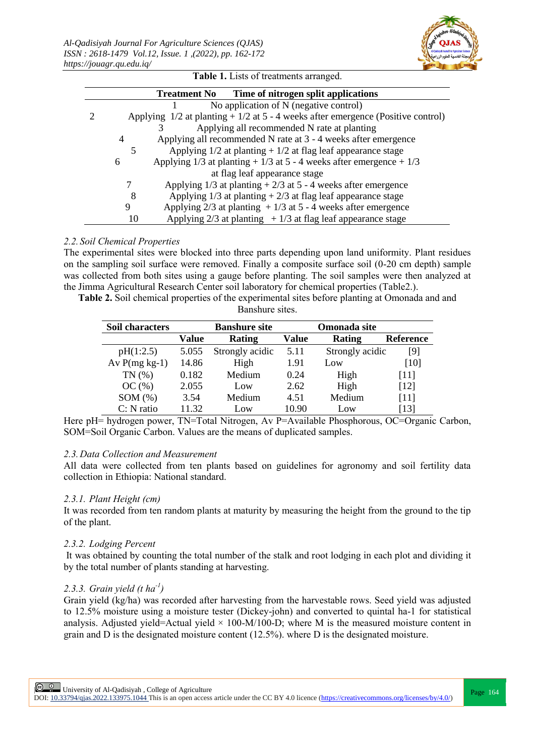

|    | Time of nitrogen split applications<br><b>Treatment No</b>                          |  |
|----|-------------------------------------------------------------------------------------|--|
|    | No application of N (negative control)                                              |  |
|    | Applying $1/2$ at planting $+1/2$ at 5 - 4 weeks after emergence (Positive control) |  |
|    | Applying all recommended N rate at planting                                         |  |
| 4  | Applying all recommended N rate at 3 - 4 weeks after emergence                      |  |
|    | Applying $1/2$ at planting $+1/2$ at flag leaf appearance stage                     |  |
| 6  | Applying $1/3$ at planting + $1/3$ at 5 - 4 weeks after emergence + $1/3$           |  |
|    | at flag leaf appearance stage                                                       |  |
|    | Applying $1/3$ at planting $+2/3$ at 5 - 4 weeks after emergence                    |  |
| 8  | Applying $1/3$ at planting $+2/3$ at flag leaf appearance stage                     |  |
| 9  | Applying $2/3$ at planting $+1/3$ at 5 - 4 weeks after emergence                    |  |
| 10 | Applying $2/3$ at planting $+1/3$ at flag leaf appearance stage                     |  |

**Table 1.** Lists of treatments arranged.

*2.2. Soil Chemical Properties* The experimental sites were blocked into three parts depending upon land uniformity. Plant residues on the sampling soil surface were removed. Finally a composite surface soil (0-20 cm depth) sample was collected from both sites using a gauge before planting. The soil samples were then analyzed at the Jimma Agricultural Research Center soil laboratory for chemical properties (Table2.).

**Table 2.** Soil chemical properties of the experimental sites before planting at Omonada and and Banshure sites.

| Soil characters |       | <b>Banshure site</b> |       | Omonada site    |                  |
|-----------------|-------|----------------------|-------|-----------------|------------------|
|                 | Value | Rating               | Value | Rating          | <b>Reference</b> |
| pH(1:2.5)       | 5.055 | Strongly acidic      | 5.11  | Strongly acidic | [9]              |
| Av $P(mg kg-1)$ | 14.86 | High                 | 1.91  | Low             | [10]             |
| TN(%            | 0.182 | Medium               | 0.24  | High            | [11]             |
| OC(%)           | 2.055 | Low                  | 2.62  | High            | [12]             |
| SOM(%)          | 3.54  | Medium               | 4.51  | Medium          | [11]             |
| $C: N$ ratio    | 11 32 | Low                  | 10.90 | Low             | [13]             |

Here pH= hydrogen power, TN=Total Nitrogen, Av P=Available Phosphorous, OC=Organic Carbon, SOM=Soil Organic Carbon. Values are the means of duplicated samples.

#### *2.3.Data Collection and Measurement*

All data were collected from ten plants based on guidelines for agronomy and soil fertility data collection in Ethiopia: National standard.

#### *2.3.1. Plant Height (cm)*

It was recorded from ten random plants at maturity by measuring the height from the ground to the tip of the plant.

### *2.3.2. Lodging Percent*

It was obtained by counting the total number of the stalk and root lodging in each plot and dividing it by the total number of plants standing at harvesting.

## *2.3.3. Grain yield (t ha-1 )*

Grain yield (kg/ha) was recorded after harvesting from the harvestable rows. Seed yield was adjusted to 12.5% moisture using a moisture tester (Dickey-john) and converted to quintal ha-1 for statistical analysis. Adjusted yield=Actual yield  $\times$  100-M/100-D; where M is the measured moisture content in grain and D is the designated moisture content (12.5%). where D is the designated moisture.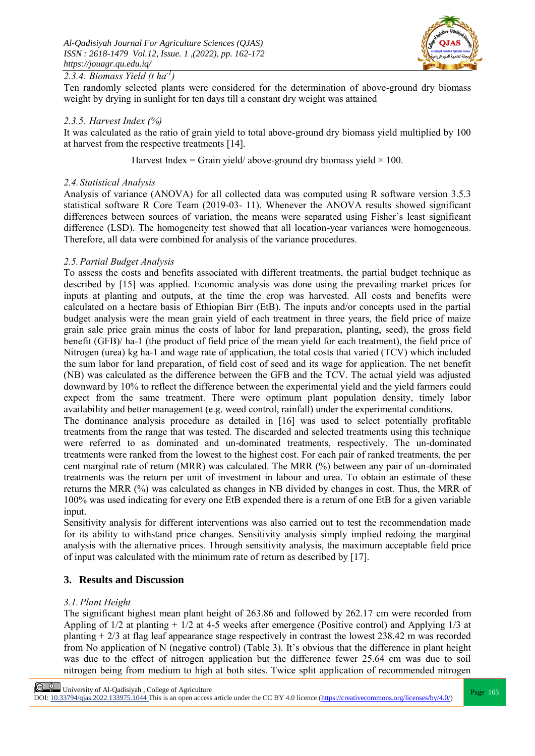

## *2.3.4. Biomass Yield (t ha-1 )*

Ten randomly selected plants were considered for the determination of above-ground dry biomass weight by drying in sunlight for ten days till a constant dry weight was attained

#### *2.3.5. Harvest Index (%)*

It was calculated as the ratio of grain yield to total above-ground dry biomass yield multiplied by 100 at harvest from the respective treatments [14].

Harvest Index = Grain yield/ above-ground dry biomass yield  $\times$  100.

#### *2.4. Statistical Analysis*

Analysis of variance (ANOVA) for all collected data was computed using R software version 3.5.3 statistical software R Core Team (2019-03- 11). Whenever the ANOVA results showed significant differences between sources of variation, the means were separated using Fisher's least significant difference (LSD). The homogeneity test showed that all location-year variances were homogeneous. Therefore, all data were combined for analysis of the variance procedures.

#### *2.5.Partial Budget Analysis*

To assess the costs and benefits associated with different treatments, the partial budget technique as described by [15] was applied. Economic analysis was done using the prevailing market prices for inputs at planting and outputs, at the time the crop was harvested. All costs and benefits were calculated on a hectare basis of Ethiopian Birr (EtB). The inputs and/or concepts used in the partial budget analysis were the mean grain yield of each treatment in three years, the field price of maize grain sale price grain minus the costs of labor for land preparation, planting, seed), the gross field benefit (GFB)/ ha-1 (the product of field price of the mean yield for each treatment), the field price of Nitrogen (urea) kg ha-1 and wage rate of application, the total costs that varied (TCV) which included the sum labor for land preparation, of field cost of seed and its wage for application. The net benefit (NB) was calculated as the difference between the GFB and the TCV. The actual yield was adjusted downward by 10% to reflect the difference between the experimental yield and the yield farmers could expect from the same treatment. There were optimum plant population density, timely labor availability and better management (e.g. weed control, rainfall) under the experimental conditions. The dominance analysis procedure as detailed in [16] was used to select potentially profitable

treatments from the range that was tested. The discarded and selected treatments using this technique were referred to as dominated and un-dominated treatments, respectively. The un-dominated treatments were ranked from the lowest to the highest cost. For each pair of ranked treatments, the per cent marginal rate of return (MRR) was calculated. The MRR (%) between any pair of un-dominated treatments was the return per unit of investment in labour and urea. To obtain an estimate of these returns the MRR (%) was calculated as changes in NB divided by changes in cost. Thus, the MRR of 100% was used indicating for every one EtB expended there is a return of one EtB for a given variable input.

Sensitivity analysis for different interventions was also carried out to test the recommendation made for its ability to withstand price changes. Sensitivity analysis simply implied redoing the marginal analysis with the alternative prices. Through sensitivity analysis, the maximum acceptable field price of input was calculated with the minimum rate of return as described by [17].

#### **3. Results and Discussion**

#### *3.1.Plant Height*

The significant highest mean plant height of 263.86 and followed by 262.17 cm were recorded from Appling of 1/2 at planting + 1/2 at 4-5 weeks after emergence (Positive control) and Applying 1/3 at planting + 2/3 at flag leaf appearance stage respectively in contrast the lowest 238.42 m was recorded from No application of N (negative control) (Table 3). It's obvious that the difference in plant height was due to the effect of nitrogen application but the difference fewer 25.64 cm was due to soil nitrogen being from medium to high at both sites. Twice split application of recommended nitrogen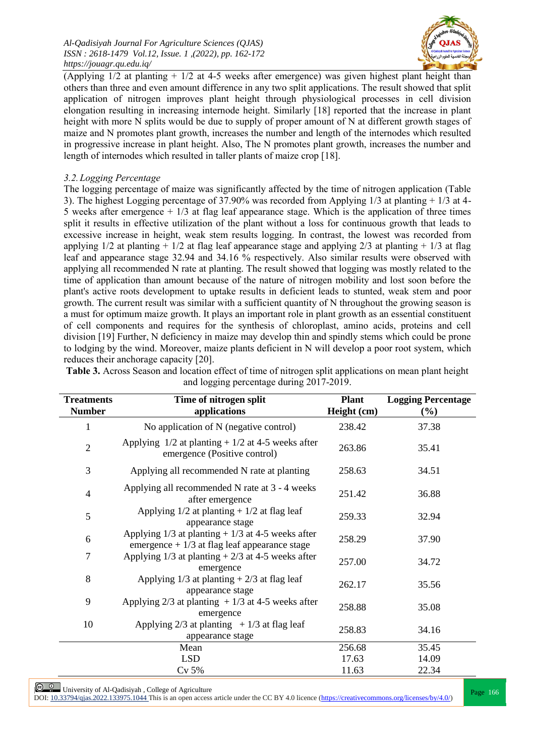

(Applying 1/2 at planting + 1/2 at 4-5 weeks after emergence) was given highest plant height than others than three and even amount difference in any two split applications. The result showed that split application of nitrogen improves plant height through physiological processes in cell division elongation resulting in increasing internode height. Similarly [18] reported that the increase in plant height with more N splits would be due to supply of proper amount of N at different growth stages of maize and N promotes plant growth, increases the number and length of the internodes which resulted in progressive increase in plant height. Also, The N promotes plant growth, increases the number and length of internodes which resulted in taller plants of maize crop [18].

### *3.2.Logging Percentage*

The logging percentage of maize was significantly affected by the time of nitrogen application (Table 3). The highest Logging percentage of 37.90% was recorded from Applying 1/3 at planting + 1/3 at 4- 5 weeks after emergence  $+1/3$  at flag leaf appearance stage. Which is the application of three times split it results in effective utilization of the plant without a loss for continuous growth that leads to excessive increase in height, weak stem results logging. In contrast, the lowest was recorded from applying  $1/2$  at planting +  $1/2$  at flag leaf appearance stage and applying  $2/3$  at planting +  $1/3$  at flag leaf and appearance stage 32.94 and 34.16 % respectively. Also similar results were observed with applying all recommended N rate at planting. The result showed that logging was mostly related to the time of application than amount because of the nature of nitrogen mobility and lost soon before the plant's active roots development to uptake results in deficient leads to stunted, weak stem and poor growth. The current result was similar with a sufficient quantity of N throughout the growing season is a must for optimum maize growth. It plays an important role in plant growth as an essential constituent of cell components and requires for the synthesis of chloroplast, amino acids, proteins and cell division [19] Further, N deficiency in maize may develop thin and spindly stems which could be prone to lodging by the wind. Moreover, maize plants deficient in N will develop a poor root system, which reduces their anchorage capacity [20].

| <b>Treatments</b><br><b>Number</b> | Time of nitrogen split<br>applications                                                                  | <b>Plant</b><br>Height (cm) | <b>Logging Percentage</b><br>$(\%)$ |
|------------------------------------|---------------------------------------------------------------------------------------------------------|-----------------------------|-------------------------------------|
| $\mathbf{1}$                       | No application of N (negative control)                                                                  | 238.42                      | 37.38                               |
| $\overline{2}$                     | Applying $1/2$ at planting + $1/2$ at 4-5 weeks after<br>emergence (Positive control)                   | 263.86                      | 35.41                               |
| 3                                  | Applying all recommended N rate at planting                                                             | 258.63                      | 34.51                               |
| $\overline{4}$                     | Applying all recommended N rate at 3 - 4 weeks<br>after emergence                                       | 251.42                      | 36.88                               |
| 5                                  | Applying $1/2$ at planting + $1/2$ at flag leaf<br>appearance stage                                     | 259.33                      | 32.94                               |
| 6                                  | Applying $1/3$ at planting + $1/3$ at 4-5 weeks after<br>emergence $+1/3$ at flag leaf appearance stage | 258.29                      | 37.90                               |
| $\tau$                             | Applying $1/3$ at planting $+2/3$ at 4-5 weeks after<br>emergence                                       | 257.00                      | 34.72                               |
| 8                                  | Applying $1/3$ at planting $+2/3$ at flag leaf<br>appearance stage                                      | 262.17                      | 35.56                               |
| 9                                  | Applying $2/3$ at planting + 1/3 at 4-5 weeks after<br>emergence                                        | 258.88                      | 35.08                               |
| 10                                 | Applying $2/3$ at planting $+1/3$ at flag leaf<br>appearance stage                                      | 258.83                      | 34.16                               |
|                                    | Mean                                                                                                    | 256.68                      | 35.45                               |
|                                    | <b>LSD</b>                                                                                              | 17.63                       | 14.09                               |
|                                    | $Cv$ 5%                                                                                                 | 11.63                       | 22.34                               |

**Table 3.** Across Season and location effect of time of nitrogen split applications on mean plant height and logging percentage during 2017-2019.

**Page 166**<br>Report to 2000 1000751014 This is a college of Agriculture<br>Report to 2000 1000751014 This is a college of Agriculture DOI: 10.33794/qjas.2022.133975.1044 This is an open access article under the CC BY 4.0 licence (https://creativecommons.org/licenses/by/4.0/)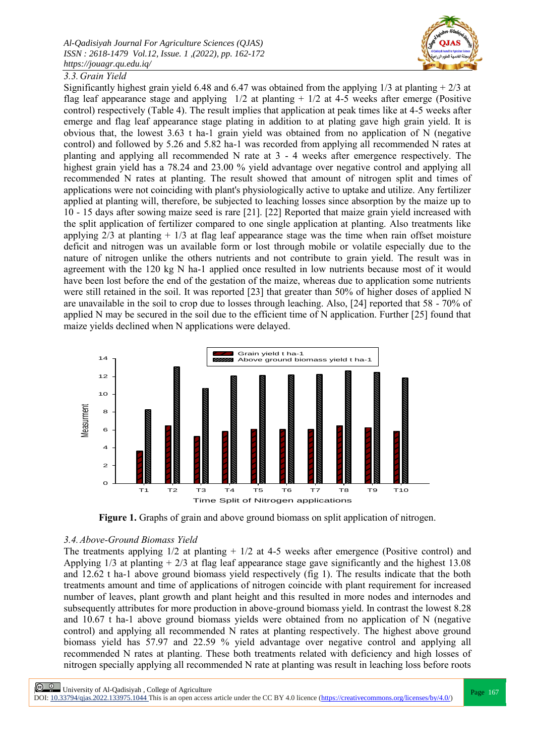

## *3.3.Grain Yield*

Significantly highest grain yield 6.48 and 6.47 was obtained from the applying  $1/3$  at planting  $+2/3$  at flag leaf appearance stage and applying  $1/2$  at planting  $+1/2$  at 4-5 weeks after emerge (Positive control) respectively (Table 4). The result implies that application at peak times like at 4-5 weeks after emerge and flag leaf appearance stage plating in addition to at plating gave high grain yield. It is obvious that, the lowest 3.63 t ha-1 grain yield was obtained from no application of N (negative control) and followed by 5.26 and 5.82 ha-1 was recorded from applying all recommended N rates at planting and applying all recommended N rate at  $3 - 4$  weeks after emergence respectively. The highest grain yield has a 78.24 and 23.00 % yield advantage over negative control and applying all recommended N rates at planting. The result showed that amount of nitrogen split and times of applications were not coinciding with plant's physiologically active to uptake and utilize. Any fertilizer applied at planting will, therefore, be subjected to leaching losses since absorption by the maize up to 10 - 15 days after sowing maize seed is rare [21]. [22] Reported that maize grain yield increased with the split application of fertilizer compared to one single application at planting. Also treatments like applying  $2/3$  at planting  $+1/3$  at flag leaf appearance stage was the time when rain offset moisture deficit and nitrogen was un available form or lost through mobile or volatile especially due to the nature of nitrogen unlike the others nutrients and not contribute to grain yield. The result was in agreement with the 120 kg N ha-1 applied once resulted in low nutrients because most of it would have been lost before the end of the gestation of the maize, whereas due to application some nutrients were still retained in the soil. It was reported [23] that greater than 50% of higher doses of applied N are unavailable in the soil to crop due to losses through leaching. Also, [24] reported that 58 - 70% of applied N may be secured in the soil due to the efficient time of N application. Further [25] found that maize yields declined when N applications were delayed.



**Figure 1.** Graphs of grain and above ground biomass on split application of nitrogen.

### *3.4.Above-Ground Biomass Yield*

The treatments applying  $1/2$  at planting  $+1/2$  at 4-5 weeks after emergence (Positive control) and Applying 1/3 at planting + 2/3 at flag leaf appearance stage gave significantly and the highest 13.08 and 12.62 t ha-1 above ground biomass yield respectively (fig 1). The results indicate that the both treatments amount and time of applications of nitrogen coincide with plant requirement for increased number of leaves, plant growth and plant height and this resulted in more nodes and internodes and subsequently attributes for more production in above-ground biomass yield. In contrast the lowest 8.28 and 10.67 t ha-1 above ground biomass yields were obtained from no application of N (negative control) and applying all recommended N rates at planting respectively. The highest above ground biomass yield has 57.97 and 22.59 % yield advantage over negative control and applying all recommended N rates at planting. These both treatments related with deficiency and high losses of nitrogen specially applying all recommended N rate at planting was result in leaching loss before roots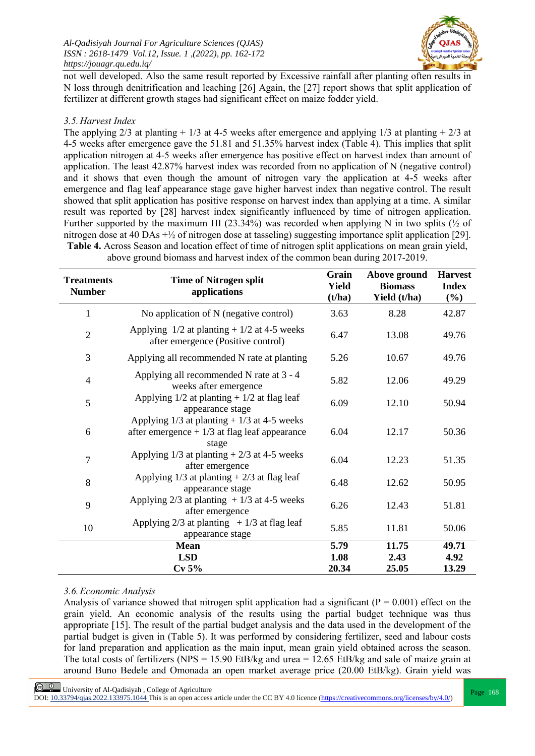

not well developed. Also the same result reported by Excessive rainfall after planting often results in N loss through denitrification and leaching [26] Again, the [27] report shows that split application of fertilizer at different growth stages had significant effect on maize fodder yield.

#### *3.5.Harvest Index*

The applying 2/3 at planting + 1/3 at 4-5 weeks after emergence and applying 1/3 at planting + 2/3 at 4-5 weeks after emergence gave the 51.81 and 51.35% harvest index (Table 4). This implies that split application nitrogen at 4-5 weeks after emergence has positive effect on harvest index than amount of application. The least 42.87% harvest index was recorded from no application of N (negative control) and it shows that even though the amount of nitrogen vary the application at 4-5 weeks after emergence and flag leaf appearance stage gave higher harvest index than negative control. The result showed that split application has positive response on harvest index than applying at a time. A similar result was reported by [28] harvest index significantly influenced by time of nitrogen application. Further supported by the maximum HI (23.34%) was recorded when applying N in two splits ( $\frac{1}{2}$  of nitrogen dose at 40 DAs +½ of nitrogen dose at tasseling) suggesting importance split application [29]. **Table 4.** Across Season and location effect of time of nitrogen split applications on mean grain yield,

| <b>Treatments</b><br><b>Number</b> | <b>Time of Nitrogen split</b><br>applications                                                              | Grain<br><b>Yield</b><br>(t/ha) | Above ground<br><b>Biomass</b><br>Yield (t/ha) | <b>Harvest</b><br><b>Index</b><br>$(\%)$ |
|------------------------------------|------------------------------------------------------------------------------------------------------------|---------------------------------|------------------------------------------------|------------------------------------------|
| $\mathbf{1}$                       | No application of N (negative control)                                                                     | 3.63                            | 8.28                                           | 42.87                                    |
| $\overline{2}$                     | Applying $1/2$ at planting + $1/2$ at 4-5 weeks<br>after emergence (Positive control)                      | 6.47<br>13.08                   |                                                | 49.76                                    |
| 3                                  | Applying all recommended N rate at planting                                                                | 5.26                            | 10.67                                          | 49.76                                    |
| $\overline{4}$                     | Applying all recommended N rate at 3 - 4<br>weeks after emergence                                          | 5.82                            | 12.06                                          | 49.29                                    |
| 5                                  | Applying $1/2$ at planting + $1/2$ at flag leaf<br>appearance stage                                        | 6.09                            | 12.10                                          | 50.94                                    |
| 6                                  | Applying $1/3$ at planting + $1/3$ at 4-5 weeks<br>after emergence $+1/3$ at flag leaf appearance<br>stage | 6.04                            | 12.17                                          | 50.36                                    |
| $\overline{7}$                     | Applying $1/3$ at planting $+2/3$ at 4-5 weeks<br>after emergence                                          | 6.04                            | 12.23                                          | 51.35                                    |
| 8                                  | Applying $1/3$ at planting $+2/3$ at flag leaf<br>appearance stage                                         | 6.48                            | 12.62                                          | 50.95                                    |
| 9                                  | Applying $2/3$ at planting + 1/3 at 4-5 weeks<br>after emergence                                           | 6.26                            | 12.43                                          | 51.81                                    |
| 10                                 | Applying $2/3$ at planting $+1/3$ at flag leaf<br>appearance stage                                         | 5.85                            | 11.81                                          | 50.06                                    |
|                                    | <b>Mean</b>                                                                                                | 5.79                            | 11.75                                          | 49.71                                    |
|                                    | <b>LSD</b>                                                                                                 | 1.08                            | 2.43                                           | 4.92                                     |
|                                    | Cv 5%                                                                                                      | 20.34                           | 25.05                                          | 13.29                                    |

above ground biomass and harvest index of the common bean during 2017-2019.

### *3.6.Economic Analysis*

Analysis of variance showed that nitrogen split application had a significant ( $P = 0.001$ ) effect on the grain yield. An economic analysis of the results using the partial budget technique was thus appropriate [15]. The result of the partial budget analysis and the data used in the development of the partial budget is given in (Table 5). It was performed by considering fertilizer, seed and labour costs for land preparation and application as the main input, mean grain yield obtained across the season. The total costs of fertilizers (NPS = 15.90 EtB/kg and urea =  $12.65$  EtB/kg and sale of maize grain at around Buno Bedele and Omonada an open market average price (20.00 EtB/kg). Grain yield was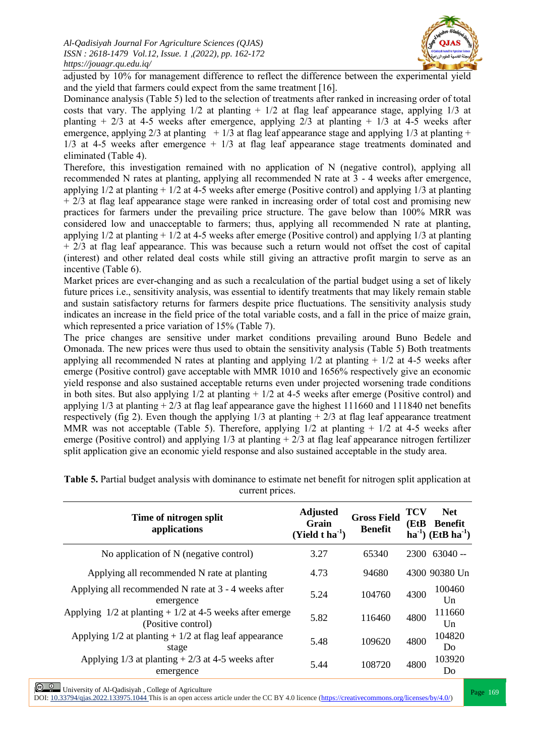

adjusted by 10% for management difference to reflect the difference between the experimental yield and the yield that farmers could expect from the same treatment [16].

Dominance analysis (Table 5) led to the selection of treatments after ranked in increasing order of total costs that vary. The applying  $1/2$  at planting  $+1/2$  at flag leaf appearance stage, applying  $1/3$  at planting  $+ 2/3$  at 4-5 weeks after emergence, applying  $2/3$  at planting  $+ 1/3$  at 4-5 weeks after emergence, applying  $2/3$  at planting  $+1/3$  at flag leaf appearance stage and applying  $1/3$  at planting  $+$ 1/3 at 4-5 weeks after emergence + 1/3 at flag leaf appearance stage treatments dominated and eliminated (Table 4).

Therefore, this investigation remained with no application of N (negative control), applying all recommended N rates at planting, applying all recommended N rate at 3 - 4 weeks after emergence, applying 1/2 at planting + 1/2 at 4-5 weeks after emerge (Positive control) and applying 1/3 at planting + 2/3 at flag leaf appearance stage were ranked in increasing order of total cost and promising new practices for farmers under the prevailing price structure. The gave below than 100% MRR was considered low and unacceptable to farmers; thus, applying all recommended N rate at planting, applying 1/2 at planting + 1/2 at 4-5 weeks after emerge (Positive control) and applying 1/3 at planting  $+ 2/3$  at flag leaf appearance. This was because such a return would not offset the cost of capital (interest) and other related deal costs while still giving an attractive profit margin to serve as an incentive (Table 6).

Market prices are ever-changing and as such a recalculation of the partial budget using a set of likely future prices i.e., sensitivity analysis, was essential to identify treatments that may likely remain stable and sustain satisfactory returns for farmers despite price fluctuations. The sensitivity analysis study indicates an increase in the field price of the total variable costs, and a fall in the price of maize grain, which represented a price variation of 15% (Table 7).

The price changes are sensitive under market conditions prevailing around Buno Bedele and Omonada. The new prices were thus used to obtain the sensitivity analysis (Table 5) Both treatments applying all recommended N rates at planting and applying  $1/2$  at planting  $+1/2$  at 4-5 weeks after emerge (Positive control) gave acceptable with MMR 1010 and 1656% respectively give an economic yield response and also sustained acceptable returns even under projected worsening trade conditions in both sites. But also applying 1/2 at planting + 1/2 at 4-5 weeks after emerge (Positive control) and applying  $1/3$  at planting  $+2/3$  at flag leaf appearance gave the highest 111660 and 111840 net benefits respectively (fig 2). Even though the applying  $1/3$  at planting  $+2/3$  at flag leaf appearance treatment MMR was not acceptable (Table 5). Therefore, applying 1/2 at planting + 1/2 at 4-5 weeks after emerge (Positive control) and applying  $1/3$  at planting  $+2/3$  at flag leaf appearance nitrogen fertilizer split application give an economic yield response and also sustained acceptable in the study area.

| Time of nitrogen split<br>applications                                            | <b>Adjusted</b><br>Grain<br>$(Yield t ha-1)$ | <b>Gross Field</b><br><b>Benefit</b> | TCV<br>(EtB | <b>Net</b><br>Benefit<br>$ha^{-1}$ ) (EtB $ha^{-1}$ ) |
|-----------------------------------------------------------------------------------|----------------------------------------------|--------------------------------------|-------------|-------------------------------------------------------|
| No application of N (negative control)                                            | 3.27                                         | 65340                                |             | $2300$ 63040 --                                       |
| Applying all recommended N rate at planting                                       | 4.73                                         | 94680                                |             | 4300 90380 Un                                         |
| Applying all recommended N rate at 3 - 4 weeks after<br>emergence                 | 5.24                                         | 104760                               | 4300        | 100460<br>U <sub>n</sub>                              |
| Applying $1/2$ at planting $+1/2$ at 4-5 weeks after emerge<br>(Positive control) | 5.82                                         | 116460                               | 4800        | 111660<br>Um                                          |
| Applying $1/2$ at planting $+1/2$ at flag leaf appearance<br>stage                | 5.48                                         | 109620                               | 4800        | 104820<br>Do                                          |
| Applying $1/3$ at planting $+2/3$ at 4-5 weeks after<br>emergence                 | 5.44                                         | 108720                               | 4800        | 103920<br>Do                                          |

**Table 5.** Partial budget analysis with dominance to estimate net benefit for nitrogen split application at current prices.

**Page 169** University of Al-Qadisiyah , College of Agriculture<br>DOI: <u>10.33794/qjas.2022.133975.1044</u> This is an open access article under the CC BY 4.0 licence (https://creativecommons.org/licenses/by/4.0/)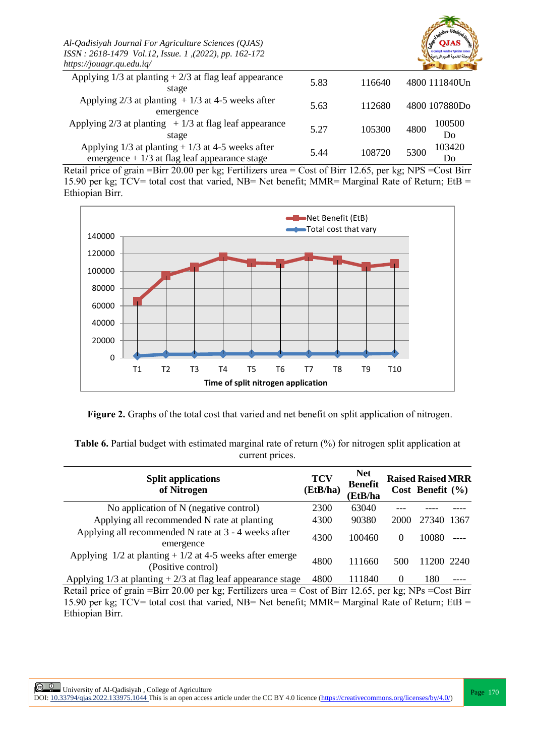| Al-Qadisiyah Journal For Agriculture Sciences (QJAS)<br>ISSN: 2618-1479 Vol.12, Issue. 1, (2022), pp. 162-172<br>https://jouagr.qu.edu.iq/ |      |        |                      |
|--------------------------------------------------------------------------------------------------------------------------------------------|------|--------|----------------------|
| Applying $1/3$ at planting $+2/3$ at flag leaf appearance<br>stage                                                                         | 5.83 | 116640 | 4800 111840Un        |
| Applying $2/3$ at planting + 1/3 at 4-5 weeks after<br>emergence                                                                           | 5.63 | 112680 | 4800 107880Do        |
| Applying $2/3$ at planting $+1/3$ at flag leaf appearance<br>stage                                                                         | 5.27 | 105300 | 100500<br>4800<br>Do |
| Applying $1/3$ at planting + $1/3$ at 4-5 weeks after<br>emergence $+1/3$ at flag leaf appearance stage                                    | 5.44 | 108720 | 103420<br>5300<br>Do |

Retail price of grain =Birr 20.00 per kg; Fertilizers urea = Cost of Birr 12.65, per kg; NPS =Cost Birr 15.90 per kg; TCV= total cost that varied, NB= Net benefit; MMR= Marginal Rate of Return; EtB = Ethiopian Birr.



**Figure 2.** Graphs of the total cost that varied and net benefit on split application of nitrogen.

**Table 6.** Partial budget with estimated marginal rate of return (%) for nitrogen split application at current prices.

| <b>Split applications</b><br>of Nitrogen                                                                  | <b>TCV</b><br>(EtB/ha) | <b>Net</b><br><b>Benefit</b><br>(EtB/ha |          | <b>Raised Raised MRR</b><br>Cost Benefit $(\% )$ |       |
|-----------------------------------------------------------------------------------------------------------|------------------------|-----------------------------------------|----------|--------------------------------------------------|-------|
| No application of N (negative control)                                                                    | 2300                   | 63040                                   |          |                                                  |       |
| Applying all recommended N rate at planting                                                               | 4300                   | 90380                                   | 2000     | 27340                                            | -1367 |
| Applying all recommended N rate at 3 - 4 weeks after<br>emergence                                         | 4300                   | 100460                                  | $\theta$ | 10080                                            |       |
| Applying $1/2$ at planting + $1/2$ at 4-5 weeks after emerge<br>(Positive control)                        | 4800                   | 111660                                  | 500      | 11200 2240                                       |       |
| Applying $1/3$ at planting $+2/3$ at flag leaf appearance stage                                           | 4800                   | 111840                                  | $\theta$ | 180                                              |       |
| Retail price of grain = Birr 20.00 per kg; Fertilizers urea = Cost of Birr 12.65, per kg; NPs = Cost Birr |                        |                                         |          |                                                  |       |

15.90 per kg; TCV= total cost that varied, NB= Net benefit; MMR= Marginal Rate of Return; EtB = Ethiopian Birr.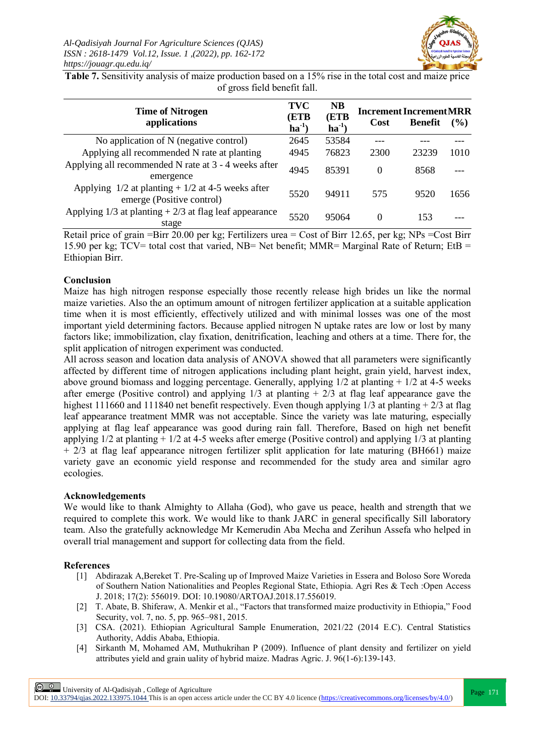

**Table 7.** Sensitivity analysis of maize production based on a 15% rise in the total cost and maize price of gross field benefit fall.

| <b>Time of Nitrogen</b><br>applications                                            |      | <b>NB</b><br>(ETB<br>$ha^{-1}$ | Cost     | <b>Increment Increment MRR</b><br><b>Benefit</b> | $($ %) |
|------------------------------------------------------------------------------------|------|--------------------------------|----------|--------------------------------------------------|--------|
| No application of N (negative control)                                             | 2645 | 53584                          |          |                                                  |        |
| Applying all recommended N rate at planting                                        | 4945 | 76823                          | 2300     | 23239                                            | 1010   |
| Applying all recommended N rate at 3 - 4 weeks after<br>emergence                  | 4945 | 85391                          | $\Omega$ | 8568                                             |        |
| Applying $1/2$ at planting + $1/2$ at 4-5 weeks after<br>emerge (Positive control) | 5520 | 94911                          | 575      | 9520                                             | 1656   |
| Applying $1/3$ at planting $+2/3$ at flag leaf appearance<br>stage                 | 5520 | 95064                          | $\Omega$ | 153                                              |        |

Retail price of grain =Birr 20.00 per kg; Fertilizers urea = Cost of Birr 12.65, per kg; NPs =Cost Birr 15.90 per kg; TCV= total cost that varied, NB= Net benefit; MMR= Marginal Rate of Return; EtB = Ethiopian Birr.

#### **Conclusion**

Maize has high nitrogen response especially those recently release high brides un like the normal maize varieties. Also the an optimum amount of nitrogen fertilizer application at a suitable application time when it is most efficiently, effectively utilized and with minimal losses was one of the most important yield determining factors. Because applied nitrogen N uptake rates are low or lost by many factors like; immobilization, clay fixation, denitrification, leaching and others at a time. There for, the split application of nitrogen experiment was conducted.

All across season and location data analysis of ANOVA showed that all parameters were significantly affected by different time of nitrogen applications including plant height, grain yield, harvest index, above ground biomass and logging percentage. Generally, applying  $1/2$  at planting  $+ 1/2$  at 4-5 weeks after emerge (Positive control) and applying  $1/3$  at planting  $+2/3$  at flag leaf appearance gave the highest 111660 and 111840 net benefit respectively. Even though applying 1/3 at planting + 2/3 at flag leaf appearance treatment MMR was not acceptable. Since the variety was late maturing, especially applying at flag leaf appearance was good during rain fall. Therefore, Based on high net benefit applying  $1/2$  at planting +  $1/2$  at 4-5 weeks after emerge (Positive control) and applying  $1/3$  at planting  $+ 2/3$  at flag leaf appearance nitrogen fertilizer split application for late maturing (BH661) maize variety gave an economic yield response and recommended for the study area and similar agro ecologies.

#### **Acknowledgements**

We would like to thank Almighty to Allaha (God), who gave us peace, health and strength that we required to complete this work. We would like to thank JARC in general specifically Sill laboratory team. Also the gratefully acknowledge Mr Kemerudin Aba Mecha and Zerihun Assefa who helped in overall trial management and support for collecting data from the field.

#### **References**

- [1] Abdirazak A,Bereket T. Pre-Scaling up of Improved Maize Varieties in Essera and Boloso Sore Woreda of Southern Nation Nationalities and Peoples Regional State, Ethiopia. Agri Res & Tech :Open Access J. 2018; 17(2): 556019. DOI: 10.19080/ARTOAJ.2018.17.556019.
- [2] T. Abate, B. Shiferaw, A. Menkir et al., "Factors that transformed maize productivity in Ethiopia," Food Security, vol. 7, no. 5, pp. 965–981, 2015.
- [3] CSA. (2021). Ethiopian Agricultural Sample Enumeration, 2021/22 (2014 E.C). Central Statistics Authority, Addis Ababa, Ethiopia.
- [4] Sirkanth M, Mohamed AM, Muthukrihan P (2009). Influence of plant density and fertilizer on yield attributes yield and grain uality of hybrid maize. Madras Agric. J. 96(1-6):139-143.

 $\frac{\odot}{\odot}$  University of Al-Qadisiyah, College of Agriculture

DOI:  $10.33794/q$ jas.2022.133975.1044 This is an open access article under the CC BY 4.0 licence (https://creativecommons.org/licenses/by/4.0/)